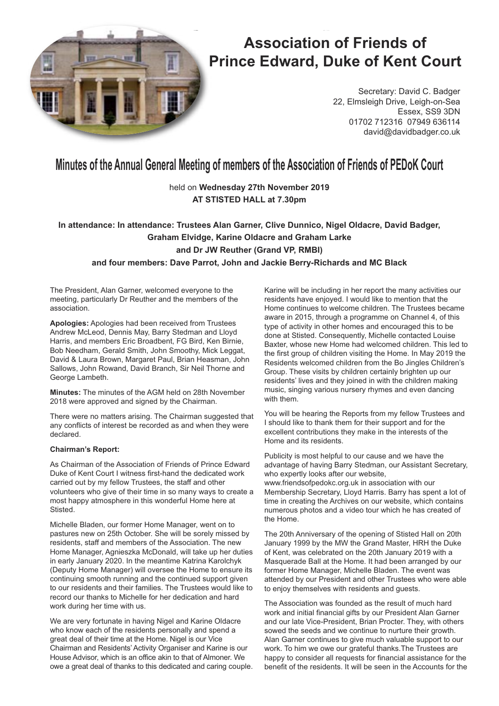

# **Association of Friends of Prince Edward, Duke of Kent Court**

Secretary: David C. Badger 22, Elmsleigh Drive, Leigh-on-Sea Essex, SS9 3DN 01702 712316 07949 636114 david@davidbadger.co.uk

## **Minutes of the Annual General Meeting of members of the Association of Friends of PEDoK Court**

## held on **Wednesday 27th November 2019 AT STISTED HALL at 7.30pm**

## **In attendance: In attendance: Trustees Alan Garner, Clive Dunnico, Nigel Oldacre, David Badger, Graham Elvidge, Karine Oldacre and Graham Larke and Dr JW Reuther (Grand VP, RMBI) and four members: Dave Parrot, John and Jackie Berry-Richards and MC Black**

The President, Alan Garner, welcomed everyone to the meeting, particularly Dr Reuther and the members of the association.

**Apologies:** Apologies had been received from Trustees Andrew McLeod, Dennis May, Barry Stedman and Lloyd Harris, and members Eric Broadbent, FG Bird, Ken Birnie, Bob Needham, Gerald Smith, John Smoothy, Mick Leggat, David & Laura Brown, Margaret Paul, Brian Heasman, John Sallows, John Rowand, David Branch, Sir Neil Thorne and George Lambeth.

**Minutes:** The minutes of the AGM held on 28th November 2018 were approved and signed by the Chairman.

There were no matters arising. The Chairman suggested that any conflicts of interest be recorded as and when they were declared.

#### **Chairman's Report:**

As Chairman of the Association of Friends of Prince Edward Duke of Kent Court I witness first-hand the dedicated work carried out by my fellow Trustees, the staff and other volunteers who give of their time in so many ways to create a most happy atmosphere in this wonderful Home here at Stisted.

Michelle Bladen, our former Home Manager, went on to pastures new on 25th October. She will be sorely missed by residents, staff and members of the Association. The new Home Manager, Agnieszka McDonald, will take up her duties in early January 2020. In the meantime Katrina Karolchyk (Deputy Home Manager) will oversee the Home to ensure its continuing smooth running and the continued support given to our residents and their families. The Trustees would like to record our thanks to Michelle for her dedication and hard work during her time with us.

We are very fortunate in having Nigel and Karine Oldacre who know each of the residents personally and spend a great deal of their time at the Home. Nigel is our Vice Chairman and Residents' Activity Organiser and Karine is our House Advisor, which is an office akin to that of Almoner. We owe a great deal of thanks to this dedicated and caring couple.

Karine will be including in her report the many activities our residents have enjoyed. I would like to mention that the Home continues to welcome children. The Trustees became aware in 2015, through a programme on Channel 4, of this type of activity in other homes and encouraged this to be done at Stisted. Consequently, Michelle contacted Louise Baxter, whose new Home had welcomed children. This led to the first group of children visiting the Home. In May 2019 the Residents welcomed children from the Bo Jingles Children's Group. These visits by children certainly brighten up our residents' lives and they joined in with the children making music, singing various nursery rhymes and even dancing with them.

You will be hearing the Reports from my fellow Trustees and I should like to thank them for their support and for the excellent contributions they make in the interests of the Home and its residents.

Publicity is most helpful to our cause and we have the advantage of having Barry Stedman, our Assistant Secretary, who expertly looks after our website.

www.friendsofpedokc.org.uk in association with our Membership Secretary, Lloyd Harris. Barry has spent a lot of time in creating the Archives on our website, which contains numerous photos and a video tour which he has created of the Home.

The 20th Anniversary of the opening of Stisted Hall on 20th January 1999 by the MW the Grand Master, HRH the Duke of Kent, was celebrated on the 20th January 2019 with a Masquerade Ball at the Home. It had been arranged by our former Home Manager, Michelle Bladen. The event was attended by our President and other Trustees who were able to enjoy themselves with residents and quests.

The Association was founded as the result of much hard work and initial financial gifts by our President Alan Garner and our late Vice-President, Brian Procter. They, with others sowed the seeds and we continue to nurture their growth. Alan Garner continues to give much valuable support to our work. To him we owe our grateful thanks.The Trustees are happy to consider all requests for financial assistance for the benefit of the residents. It will be seen in the Accounts for the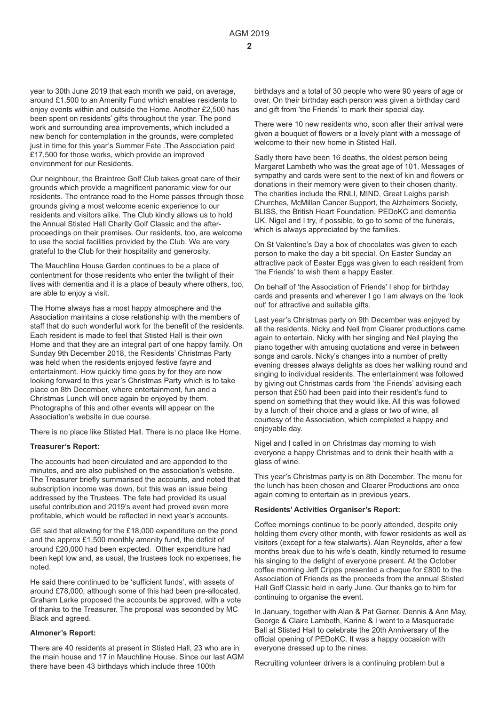year to 30th June 2019 that each month we paid, on average, around £1,500 to an Amenity Fund which enables residents to enjoy events within and outside the Home. Another £2,500 has been spent on residents' gifts throughout the year. The pond work and surrounding area improvements, which included a new bench for contemplation in the grounds, were completed just in time for this year's Summer Fete . The Association paid £17,500 for those works, which provide an improved environment for our Residents.

Our neighbour, the Braintree Golf Club takes great care of their grounds which provide a magnificent panoramic view for our residents. The entrance road to the Home passes through those grounds giving a most welcome scenic experience to our residents and visitors alike. The Club kindly allows us to hold the Annual Stisted Hall Charity Golf Classic and the afterproceedings on their premises. Our residents, too, are welcome to use the social facilities provided by the Club. We are very grateful to the Club for their hospitality and generosity.

The Mauchline House Garden continues to be a place of contentment for those residents who enter the twilight of their lives with dementia and it is a place of beauty where others, too, are able to enjoy a visit.

The Home always has a most happy atmosphere and the Association maintains a close relationship with the members of staff that do such wonderful work for the benefit of the residents. Each resident is made to feel that Stisted Hall is their own Home and that they are an integral part of one happy family. On Sunday 9th December 2018, the Residents' Christmas Party was held when the residents enjoyed festive fayre and entertainment. How quickly time goes by for they are now looking forward to this year's Christmas Party which is to take place on 8th December, where entertainment, fun and a Christmas Lunch will once again be enjoyed by them. Photographs of this and other events will appear on the Association's website in due course.

There is no place like Stisted Hall. There is no place like Home.

#### **Treasurer's Report:**

The accounts had been circulated and are appended to the minutes, and are also published on the association's website. The Treasurer briefly summarised the accounts, and noted that subscription income was down, but this was an issue being addressed by the Trustees. The fete had provided its usual useful contribution and 2019's event had proved even more profitable, which would be reflected in next year's accounts.

GE said that allowing for the £18,000 expenditure on the pond and the approx £1,500 monthly amenity fund, the deficit of around £20,000 had been expected. Other expenditure had been kept low and, as usual, the trustees took no expenses, he noted.

He said there continued to be 'sufficient funds', with assets of around £78,000, although some of this had been pre-allocated. Graham Larke proposed the accounts be approved, with a vote of thanks to the Treasurer. The proposal was seconded by MC Black and agreed.

#### **Almoner's Report:**

There are 40 residents at present in Stisted Hall, 23 who are in the main house and 17 in Mauchline House. Since our last AGM there have been 43 birthdays which include three 100th

birthdays and a total of 30 people who were 90 years of age or over. On their birthday each person was given a birthday card and gift from 'the Friends' to mark their special day.

There were 10 new residents who, soon after their arrival were given a bouquet of flowers or a lovely plant with a message of welcome to their new home in Stisted Hall.

Sadly there have been 16 deaths, the oldest person being Margaret Lambeth who was the great age of 101. Messages of sympathy and cards were sent to the next of kin and flowers or donations in their memory were given to their chosen charity. The charities include the RNLI, MIND, Great Leighs parish Churches, McMillan Cancer Support, the Alzheimers Society, BLISS, the British Heart Foundation, PEDoKC and dementia UK. Nigel and I try, if possible, to go to some of the funerals, which is always appreciated by the families.

On St Valentine's Day a box of chocolates was given to each person to make the day a bit special. On Easter Sunday an attractive pack of Easter Eggs was given to each resident from 'the Friends' to wish them a happy Easter.

On behalf of 'the Association of Friends' I shop for birthday cards and presents and wherever I go I am always on the 'look out' for attractive and suitable gifts.

Last year's Christmas party on 9th December was enjoyed by all the residents. Nicky and Neil from Clearer productions came again to entertain, Nicky with her singing and Neil playing the piano together with amusing quotations and verse in between songs and carols. Nicky's changes into a number of pretty evening dresses always delights as does her walking round and singing to individual residents. The entertainment was followed by giving out Christmas cards from 'the Friends' advising each person that £50 had been paid into their resident's fund to spend on something that they would like. All this was followed by a lunch of their choice and a glass or two of wine, all courtesy of the Association, which completed a happy and enjoyable day.

Nigel and I called in on Christmas day morning to wish everyone a happy Christmas and to drink their health with a glass of wine.

This year's Christmas party is on 8th December. The menu for the lunch has been chosen and Clearer Productions are once again coming to entertain as in previous years.

#### **Residents' Activities Organiser's Report:**

Coffee mornings continue to be poorly attended, despite only holding them every other month, with fewer residents as well as visitors (except for a few stalwarts). Alan Reynolds, after a few months break due to his wife's death, kindly returned to resume his singing to the delight of everyone present. At the October coffee morning Jeff Cripps presented a cheque for £800 to the Association of Friends as the proceeds from the annual Stisted Hall Golf Classic held in early June. Our thanks go to him for continuing to organise the event.

In January, together with Alan & Pat Garner, Dennis & Ann May, George & Claire Lambeth, Karine & I went to a Masquerade Ball at Stisted Hall to celebrate the 20th Anniversary of the official opening of PEDoKC. It was a happy occasion with everyone dressed up to the nines.

Recruiting volunteer drivers is a continuing problem but a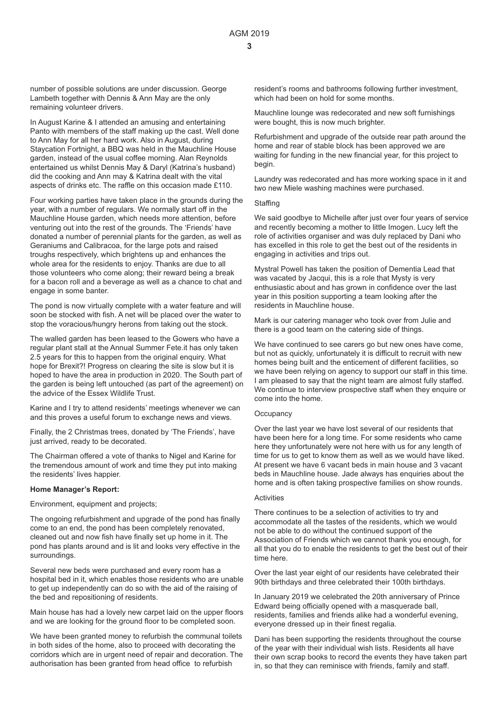number of possible solutions are under discussion. George Lambeth together with Dennis & Ann May are the only remaining volunteer drivers.

In August Karine & I attended an amusing and entertaining Panto with members of the staff making up the cast. Well done to Ann May for all her hard work. Also in August, during Staycation Fortnight, a BBQ was held in the Mauchline House garden, instead of the usual coffee morning. Alan Reynolds entertained us whilst Dennis May & Daryl (Katrina's husband) did the cooking and Ann may & Katrina dealt with the vital aspects of drinks etc. The raffle on this occasion made £110.

Four working parties have taken place in the grounds during the year, with a number of regulars. We normally start off in the Mauchline House garden, which needs more attention, before venturing out into the rest of the grounds. The 'Friends' have donated a number of perennial plants for the garden, as well as Geraniums and Calibracoa, for the large pots and raised troughs respectively, which brightens up and enhances the whole area for the residents to enjoy. Thanks are due to all those volunteers who come along; their reward being a break for a bacon roll and a beverage as well as a chance to chat and engage in some banter.

The pond is now virtually complete with a water feature and will soon be stocked with fish. A net will be placed over the water to stop the voracious/hungry herons from taking out the stock.

The walled garden has been leased to the Gowers who have a regular plant stall at the Annual Summer Fete.it has only taken 2.5 years for this to happen from the original enquiry. What hope for Brexit?! Progress on clearing the site is slow but it is hoped to have the area in production in 2020. The South part of the garden is being left untouched (as part of the agreement) on the advice of the Essex Wildlife Trust.

Karine and I try to attend residents' meetings whenever we can and this proves a useful forum to exchange news and views.

Finally, the 2 Christmas trees, donated by 'The Friends', have just arrived, ready to be decorated.

The Chairman offered a vote of thanks to Nigel and Karine for the tremendous amount of work and time they put into making the residents' lives happier.

#### **Home Manager's Report:**

Environment, equipment and projects;

The ongoing refurbishment and upgrade of the pond has finally come to an end, the pond has been completely renovated, cleaned out and now fish have finally set up home in it. The pond has plants around and is lit and looks very effective in the surroundings.

Several new beds were purchased and every room has a hospital bed in it, which enables those residents who are unable to get up independently can do so with the aid of the raising of the bed and repositioning of residents.

Main house has had a lovely new carpet laid on the upper floors and we are looking for the ground floor to be completed soon.

We have been granted money to refurbish the communal toilets in both sides of the home, also to proceed with decorating the corridors which are in urgent need of repair and decoration. The authorisation has been granted from head office to refurbish

resident's rooms and bathrooms following further investment, which had been on hold for some months.

Mauchline lounge was redecorated and new soft furnishings were bought, this is now much brighter.

Refurbishment and upgrade of the outside rear path around the home and rear of stable block has been approved we are waiting for funding in the new financial year, for this project to begin.

Laundry was redecorated and has more working space in it and two new Miele washing machines were purchased.

#### **Staffing**

We said goodbye to Michelle after just over four years of service and recently becoming a mother to little Imogen. Lucy left the role of activities organiser and was duly replaced by Dani who has excelled in this role to get the best out of the residents in engaging in activities and trips out.

Mystral Powell has taken the position of Dementia Lead that was vacated by Jacqui, this is a role that Mysty is very enthusiastic about and has grown in confidence over the last year in this position supporting a team looking after the residents in Mauchline house.

Mark is our catering manager who took over from Julie and there is a good team on the catering side of things.

We have continued to see carers go but new ones have come, but not as quickly, unfortunately it is difficult to recruit with new homes being built and the enticement of different facilities, so we have been relying on agency to support our staff in this time. I am pleased to say that the night team are almost fully staffed. We continue to interview prospective staff when they enquire or come into the home.

#### **Occupancy**

Over the last year we have lost several of our residents that have been here for a long time. For some residents who came here they unfortunately were not here with us for any length of time for us to get to know them as well as we would have liked. At present we have 6 vacant beds in main house and 3 vacant beds in Mauchline house. Jade always has enquiries about the home and is often taking prospective families on show rounds.

#### **Activities**

There continues to be a selection of activities to try and accommodate all the tastes of the residents, which we would not be able to do without the continued support of the Association of Friends which we cannot thank you enough, for all that you do to enable the residents to get the best out of their time here.

Over the last year eight of our residents have celebrated their 90th birthdays and three celebrated their 100th birthdays.

In January 2019 we celebrated the 20th anniversary of Prince Edward being officially opened with a masquerade ball, residents, families and friends alike had a wonderful evening, everyone dressed up in their finest regalia.

Dani has been supporting the residents throughout the course of the year with their individual wish lists. Residents all have their own scrap books to record the events they have taken part in, so that they can reminisce with friends, family and staff.